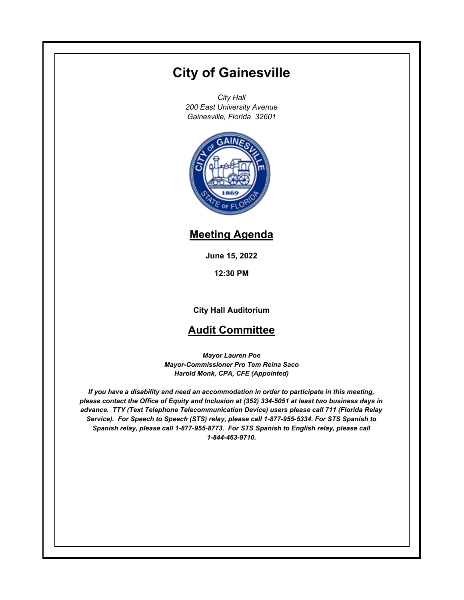# **City of Gainesville**

*City Hall 200 East University Avenue Gainesville, Florida 32601*



## **Meeting Agenda**

**June 15, 2022**

**12:30 PM**

**City Hall Auditorium**

### **Audit Committee**

*Mayor Lauren Poe Mayor-Commissioner Pro Tem Reina Saco Harold Monk, CPA, CFE (Appointed)*

*If you have a disability and need an accommodation in order to participate in this meeting, please contact the Office of Equity and Inclusion at (352) 334-5051 at least two business days in advance. TTY (Text Telephone Telecommunication Device) users please call 711 (Florida Relay Service). For Speech to Speech (STS) relay, please call 1-877-955-5334. For STS Spanish to Spanish relay, please call 1-877-955-8773. For STS Spanish to English relay, please call 1-844-463-9710.*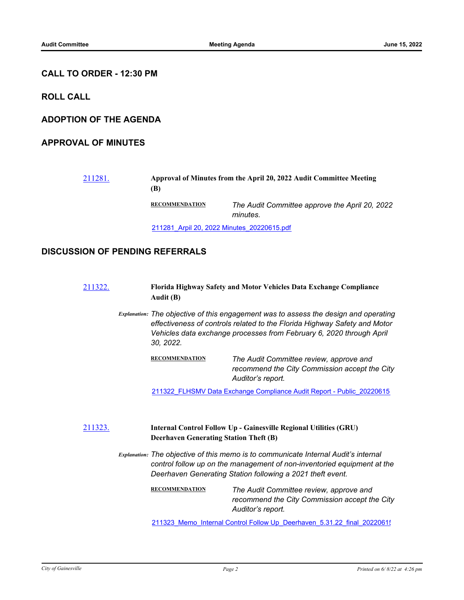#### **CALL TO ORDER - 12:30 PM**

**ROLL CALL**

**ADOPTION OF THE AGENDA**

#### **APPROVAL OF MINUTES**

| 211281. | Approval of Minutes from the April 20, 2022 Audit Committee Meeting<br>(B) |                                                            |  |
|---------|----------------------------------------------------------------------------|------------------------------------------------------------|--|
|         | <b>RECOMMENDATION</b>                                                      | The Audit Committee approve the April 20, 2022<br>minutes. |  |
|         | 211281 Arpil 20, 2022 Minutes 20220615.pdf                                 |                                                            |  |

#### **DISCUSSION OF PENDING REFERRALS**

[211322.](http://gainesville.legistar.com/gateway.aspx?m=l&id=/matter.aspx?key=34104) **Florida Highway Safety and Motor Vehicles Data Exchange Compliance Audit (B)**

> *Explanation: The objective of this engagement was to assess the design and operating effectiveness of controls related to the Florida Highway Safety and Motor Vehicles data exchange processes from February 6, 2020 through April 30, 2022.*

> > **RECOMMENDATION** *The Audit Committee review, approve and recommend the City Commission accept the City Auditor's report.*

211322 FLHSMV Data Exchange Compliance Audit Report - Public\_20220615

#### [211323.](http://gainesville.legistar.com/gateway.aspx?m=l&id=/matter.aspx?key=34105) **Internal Control Follow Up - Gainesville Regional Utilities (GRU) Deerhaven Generating Station Theft (B)**

*Explanation: The objective of this memo is to communicate Internal Audit's internal control follow up on the management of non-inventoried equipment at the Deerhaven Generating Station following a 2021 theft event.*

> **RECOMMENDATION** *The Audit Committee review, approve and recommend the City Commission accept the City Auditor's report.*

> 211323 Memo\_Internal Control Follow Up\_Deerhaven\_5.31.22\_final\_20220615